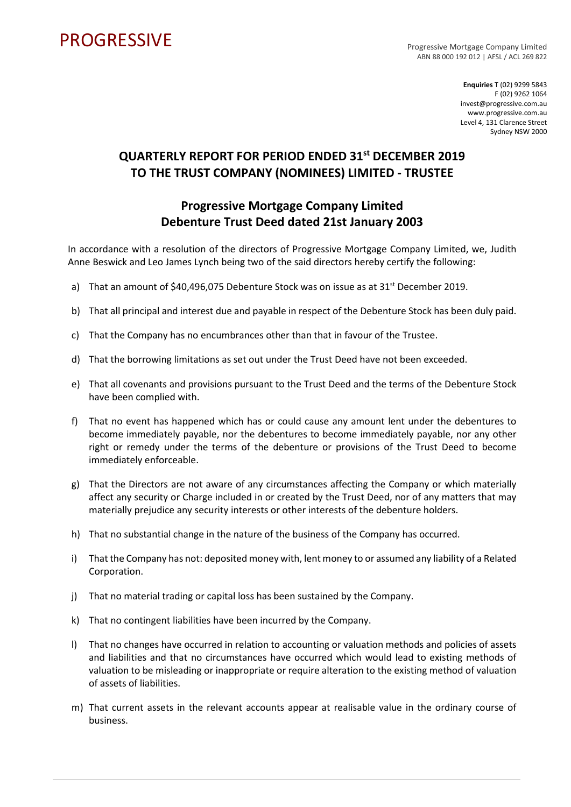## **PROGRESSIVE**

Progressive Mortgage Company Limited ABN 88 000 192 012 | AFSL / ACL 269 822

> **Enquiries** T (02) 9299 5843 F (02) 9262 1064 invest@progressive.com.au www.progressive.com.au Level 4, 131 Clarence Street Sydney NSW 2000

## **QUARTERLY REPORT FOR PERIOD ENDED 31st DECEMBER 2019 TO THE TRUST COMPANY (NOMINEES) LIMITED - TRUSTEE**

## **Progressive Mortgage Company Limited Debenture Trust Deed dated 21st January 2003**

In accordance with a resolution of the directors of Progressive Mortgage Company Limited, we, Judith Anne Beswick and Leo James Lynch being two of the said directors hereby certify the following:

- a) That an amount of  $$40,496,075$  Debenture Stock was on issue as at 31<sup>st</sup> December 2019.
- b) That all principal and interest due and payable in respect of the Debenture Stock has been duly paid.
- c) That the Company has no encumbrances other than that in favour of the Trustee.
- d) That the borrowing limitations as set out under the Trust Deed have not been exceeded.
- e) That all covenants and provisions pursuant to the Trust Deed and the terms of the Debenture Stock have been complied with.
- f) That no event has happened which has or could cause any amount lent under the debentures to become immediately payable, nor the debentures to become immediately payable, nor any other right or remedy under the terms of the debenture or provisions of the Trust Deed to become immediately enforceable.
- g) That the Directors are not aware of any circumstances affecting the Company or which materially affect any security or Charge included in or created by the Trust Deed, nor of any matters that may materially prejudice any security interests or other interests of the debenture holders.
- h) That no substantial change in the nature of the business of the Company has occurred.
- i) That the Company has not: deposited money with, lent money to or assumed any liability of a Related Corporation.
- j) That no material trading or capital loss has been sustained by the Company.
- k) That no contingent liabilities have been incurred by the Company.
- l) That no changes have occurred in relation to accounting or valuation methods and policies of assets and liabilities and that no circumstances have occurred which would lead to existing methods of valuation to be misleading or inappropriate or require alteration to the existing method of valuation of assets of liabilities.
- m) That current assets in the relevant accounts appear at realisable value in the ordinary course of business.